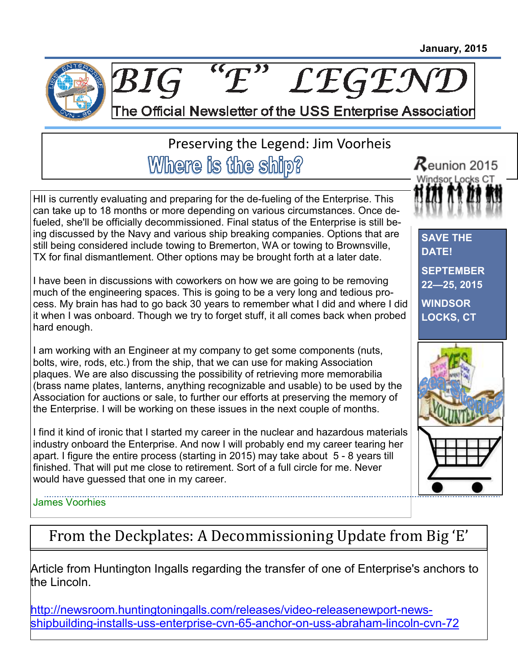

*BIG* 

The Official Newsletter of the USS Enterprise Association

 ${\cal L} \mathcal{E} G {\cal E} \mathcal{I}$ 

## Preserving the Legend: Jim Voorheis Where is the ship?

HII is currently evaluating and preparing for the de-fueling of the Enterprise. This can take up to 18 months or more depending on various circumstances. Once defueled, she'll be officially decommissioned. Final status of the Enterprise is still being discussed by the Navy and various ship breaking companies. Options that are still being considered include towing to Bremerton, WA or towing to Brownsville, TX for final dismantlement. Other options may be brought forth at a later date.

I have been in discussions with coworkers on how we are going to be removing much of the engineering spaces. This is going to be a very long and tedious process. My brain has had to go back 30 years to remember what I did and where I did it when I was onboard. Though we try to forget stuff, it all comes back when probed hard enough.

I am working with an Engineer at my company to get some components (nuts, bolts, wire, rods, etc.) from the ship, that we can use for making Association plaques. We are also discussing the possibility of retrieving more memorabilia (brass name plates, lanterns, anything recognizable and usable) to be used by the Association for auctions or sale, to further our efforts at preserving the memory of the Enterprise. I will be working on these issues in the next couple of months.

I find it kind of ironic that I started my career in the nuclear and hazardous materials industry onboard the Enterprise. And now I will probably end my career tearing her apart. I figure the entire process (starting in 2015) may take about 5 - 8 years till finished. That will put me close to retirement. Sort of a full circle for me. Never would have guessed that one in my career.

James Voorhies



**SAVE THE DATE! SEPTEMBER 22—25, 2015 WINDSOR LOCKS, CT** 



### From the Deckplates: A Decommissioning Update from Big 'E'

Article from Huntington Ingalls regarding the transfer of one of Enterprise's anchors to the Lincoln.

http://newsroom.huntingtoningalls.com/releases/video-releasenewport-newsshipbuilding-installs-uss-enterprise-cvn-65-anchor-on-uss-abraham-lincoln-cvn-72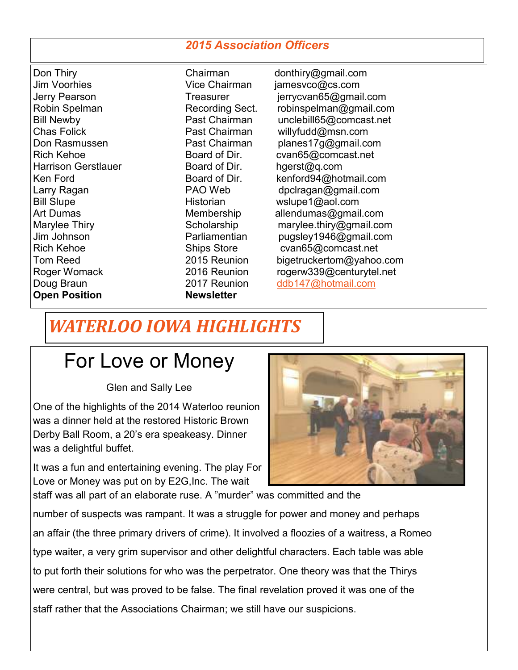### *2015 Association Officers*

Harrison Gerstlauer **Board of Dir.** hgerst@q.com Bill Slupe **Historian** Historian wslupe1@aol.com **Open Position Mewsletter** 

Don Thiry Chairman donthiry@gmail.com Jim Voorhies Vice Chairman jamesvco@cs.com Jerry Pearson Treasurer jerrycvan65@gmail.com Robin Spelman Recording Sect. robinspelman@gmail.com Bill Newby Past Chairman unclebill65@comcast.net Chas Folick Past Chairman willyfudd@msn.com Don Rasmussen **Past Chairman** planes17g@gmail.com Rich Kehoe Board of Dir. cvan65@comcast.net Ken Ford **Board of Dir.** kenford94@hotmail.com Larry Ragan **PAO Web** dpclragan@gmail.com Art Dumas Membership allendumas@gmail.com Marylee Thiry **Marylee.**thiry **Marylee.thiry** marylee.thiry **@gmail.com** Jim Johnson Parliamentian pugsley1946@gmail.com Rich Kehoe Ships Store cvan65@comcast.net Tom Reed 2015 Reunion bigetruckertom@yahoo.com Roger Womack 2016 Reunion rogerw339@centurytel.net Doug Braun 2017 Reunion ddb147@hotmail.com

## WATERLOO IOWA HIGHLIGHTS

# For Love or Money

Glen and Sally Lee

One of the highlights of the 2014 Waterloo reunion was a dinner held at the restored Historic Brown Derby Ball Room, a 20's era speakeasy. Dinner was a delightful buffet.

It was a fun and entertaining evening. The play For Love or Money was put on by E2G,Inc. The wait

staff was all part of an elaborate ruse. A "murder" was committed and the

number of suspects was rampant. It was a struggle for power and money and perhaps an affair (the three primary drivers of crime). It involved a floozies of a waitress, a Romeo type waiter, a very grim supervisor and other delightful characters. Each table was able to put forth their solutions for who was the perpetrator. One theory was that the Thirys were central, but was proved to be false. The final revelation proved it was one of the staff rather that the Associations Chairman; we still have our suspicions.

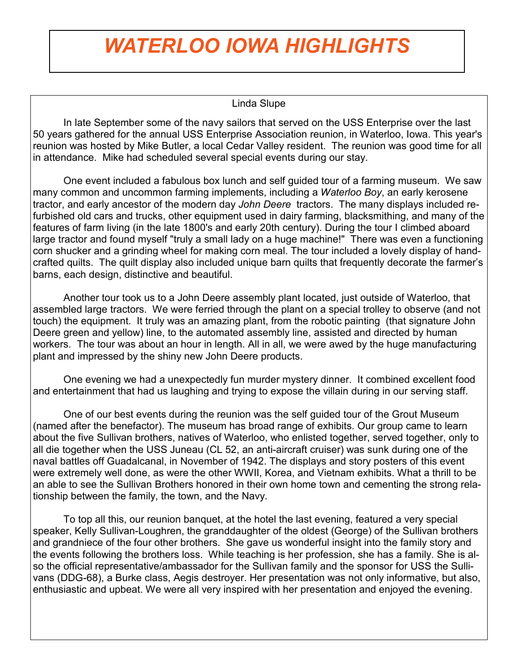# *WATERLOO IOWA HIGHLIGHTS*

#### Linda Slupe

In late September some of the navy sailors that served on the USS Enterprise over the last 50 years gathered for the annual USS Enterprise Association reunion, in Waterloo, Iowa. This year's reunion was hosted by Mike Butler, a local Cedar Valley resident. The reunion was good time for all in attendance. Mike had scheduled several special events during our stay.

 One event included a fabulous box lunch and self guided tour of a farming museum. We saw many common and uncommon farming implements, including a *Waterloo Boy*, an early kerosene tractor, and early ancestor of the modern day *John Deere* tractors. The many displays included refurbished old cars and trucks, other equipment used in dairy farming, blacksmithing, and many of the features of farm living (in the late 1800's and early 20th century). During the tour I climbed aboard large tractor and found myself "truly a small lady on a huge machine!" There was even a functioning corn shucker and a grinding wheel for making corn meal. The tour included a lovely display of handcrafted quilts. The quilt display also included unique barn quilts that frequently decorate the farmer's barns, each design, distinctive and beautiful.

 Another tour took us to a John Deere assembly plant located, just outside of Waterloo, that assembled large tractors. We were ferried through the plant on a special trolley to observe (and not touch) the equipment. It truly was an amazing plant, from the robotic painting (that signature John Deere green and yellow) line, to the automated assembly line, assisted and directed by human workers. The tour was about an hour in length. All in all, we were awed by the huge manufacturing plant and impressed by the shiny new John Deere products.

 One evening we had a unexpectedly fun murder mystery dinner. It combined excellent food and entertainment that had us laughing and trying to expose the villain during in our serving staff.

 One of our best events during the reunion was the self guided tour of the Grout Museum (named after the benefactor). The museum has broad range of exhibits. Our group came to learn about the five Sullivan brothers, natives of Waterloo, who enlisted together, served together, only to all die together when the USS Juneau (CL 52, an anti-aircraft cruiser) was sunk during one of the naval battles off Guadalcanal, in November of 1942. The displays and story posters of this event were extremely well done, as were the other WWII, Korea, and Vietnam exhibits. What a thrill to be an able to see the Sullivan Brothers honored in their own home town and cementing the strong relationship between the family, the town, and the Navy.

 To top all this, our reunion banquet, at the hotel the last evening, featured a very special speaker, Kelly Sullivan-Loughren, the granddaughter of the oldest (George) of the Sullivan brothers and grandniece of the four other brothers. She gave us wonderful insight into the family story and the events following the brothers loss. While teaching is her profession, she has a family. She is also the official representative/ambassador for the Sullivan family and the sponsor for USS the Sullivans (DDG-68), a Burke class, Aegis destroyer. Her presentation was not only informative, but also, enthusiastic and upbeat. We were all very inspired with her presentation and enjoyed the evening.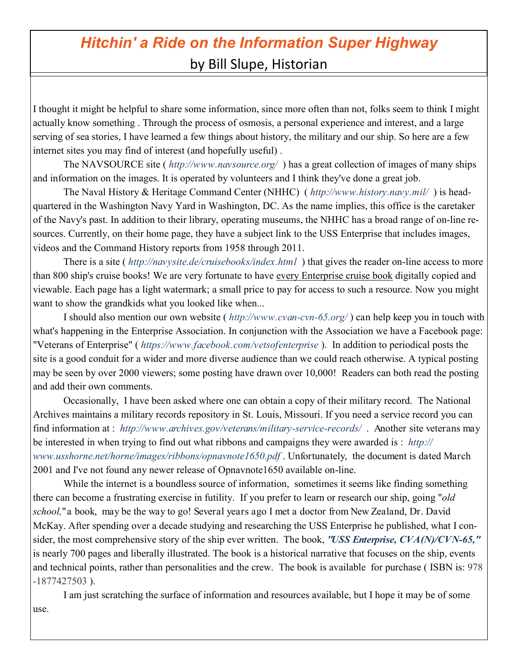### *Hitchin' a Ride on the Information Super Highway*  by Bill Slupe, Historian

I thought it might be helpful to share some information, since more often than not, folks seem to think I might actually know something . Through the process of osmosis, a personal experience and interest, and a large serving of sea stories, I have learned a few things about history, the military and our ship. So here are a few internet sites you may find of interest (and hopefully useful) .

 The NAVSOURCE site ( *http://www.navsource.org/* ) has a great collection of images of many ships and information on the images. It is operated by volunteers and I think they've done a great job.

 The Naval History & Heritage Command Center (NHHC) ( *http://www.history.navy.mil/* ) is headquartered in the Washington Navy Yard in Washington, DC. As the name implies, this office is the caretaker of the Navy's past. In addition to their library, operating museums, the NHHC has a broad range of on-line resources. Currently, on their home page, they have a subject link to the USS Enterprise that includes images, videos and the Command History reports from 1958 through 2011.

 There is a site ( *http://navysite.de/cruisebooks/index.html* ) that gives the reader on-line access to more than 800 ship's cruise books! We are very fortunate to have every Enterprise cruise book digitally copied and viewable. Each page has a light watermark; a small price to pay for access to such a resource. Now you might want to show the grandkids what you looked like when...

 I should also mention our own website ( *http://www.cvan-cvn-65.org/* ) can help keep you in touch with what's happening in the Enterprise Association. In conjunction with the Association we have a Facebook page: "Veterans of Enterprise" ( *https://www.facebook.com/vetsofenterprise* ). In addition to periodical posts the site is a good conduit for a wider and more diverse audience than we could reach otherwise. A typical posting may be seen by over 2000 viewers; some posting have drawn over 10,000! Readers can both read the posting and add their own comments.

 Occasionally, I have been asked where one can obtain a copy of their military record. The National Archives maintains a military records repository in St. Louis, Missouri. If you need a service record you can find information at : *http://www.archives.gov/veterans/military-service-records/* . Another site veterans may be interested in when trying to find out what ribbons and campaigns they were awarded is : *http:// www.usshorne.net/horne/images/ribbons/opnavnote1650.pdf* . Unfortunately, the document is dated March 2001 and I've not found any newer release of Opnavnote1650 available on-line.

 While the internet is a boundless source of information, sometimes it seems like finding something there can become a frustrating exercise in futility. If you prefer to learn or research our ship, going "*old school,*" a book, may be the way to go! Several years ago I met a doctor from New Zealand, Dr. David McKay. After spending over a decade studying and researching the USS Enterprise he published, what I consider, the most comprehensive story of the ship ever written. The book, *"USS Enterprise, CVA(N)/CVN-65,"* is nearly 700 pages and liberally illustrated. The book is a historical narrative that focuses on the ship, events and technical points, rather than personalities and the crew. The book is available for purchase ( ISBN is: 978 -1877427503 ).

 I am just scratching the surface of information and resources available, but I hope it may be of some use.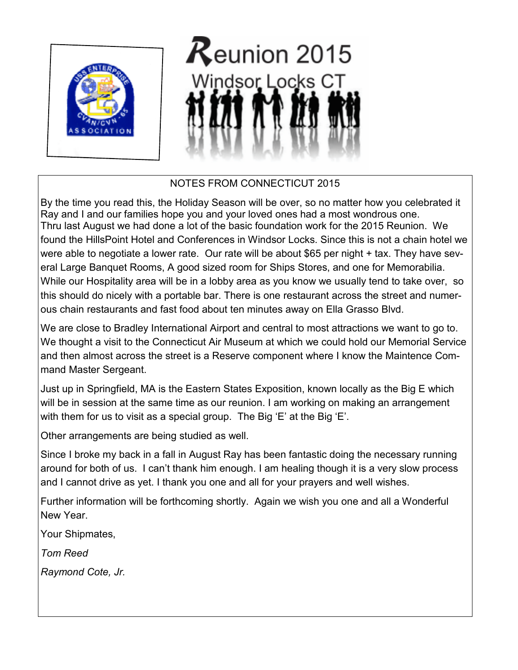



### NOTES FROM CONNECTICUT 2015

By the time you read this, the Holiday Season will be over, so no matter how you celebrated it Ray and I and our families hope you and your loved ones had a most wondrous one. Thru last August we had done a lot of the basic foundation work for the 2015 Reunion. We found the HillsPoint Hotel and Conferences in Windsor Locks. Since this is not a chain hotel we were able to negotiate a lower rate. Our rate will be about \$65 per night + tax. They have several Large Banquet Rooms, A good sized room for Ships Stores, and one for Memorabilia. While our Hospitality area will be in a lobby area as you know we usually tend to take over, so this should do nicely with a portable bar. There is one restaurant across the street and numerous chain restaurants and fast food about ten minutes away on Ella Grasso Blvd.

We are close to Bradley International Airport and central to most attractions we want to go to. We thought a visit to the Connecticut Air Museum at which we could hold our Memorial Service and then almost across the street is a Reserve component where I know the Maintence Command Master Sergeant.

Just up in Springfield, MA is the Eastern States Exposition, known locally as the Big E which will be in session at the same time as our reunion. I am working on making an arrangement with them for us to visit as a special group. The Big 'E' at the Big 'E'.

Other arrangements are being studied as well.

Since I broke my back in a fall in August Ray has been fantastic doing the necessary running around for both of us. I can't thank him enough. I am healing though it is a very slow process and I cannot drive as yet. I thank you one and all for your prayers and well wishes.

Further information will be forthcoming shortly. Again we wish you one and all a Wonderful New Year.

Your Shipmates,

*Tom Reed* 

*Raymond Cote, Jr.*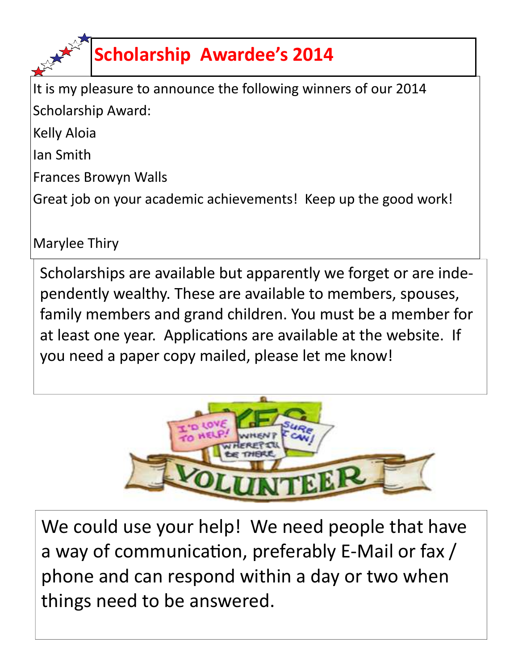# **Scholarship Awardee's 2014**

It is my pleasure to announce the following winners of our 2014 Scholarship Award:

Kelly Aloia

Ian Smith

Frances Browyn Walls

Great job on your academic achievements! Keep up the good work!

Marylee Thiry

Scholarships are available but apparently we forget or are independently wealthy. These are available to members, spouses, family members and grand children. You must be a member for at least one year. Applications are available at the website. If you need a paper copy mailed, please let me know!



We could use your help! We need people that have a way of communication, preferably E-Mail or fax / phone and can respond within a day or two when things need to be answered.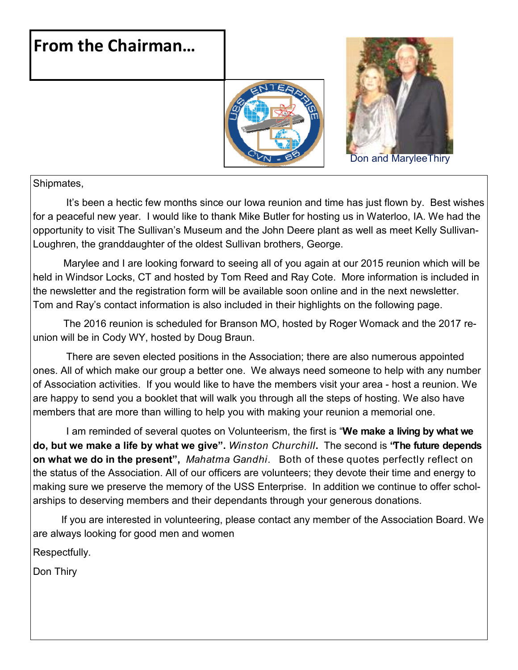## **From the Chairman…**





Don and MaryleeThiry

Shipmates,

 It's been a hectic few months since our Iowa reunion and time has just flown by. Best wishes for a peaceful new year. I would like to thank Mike Butler for hosting us in Waterloo, IA. We had the opportunity to visit The Sullivan's Museum and the John Deere plant as well as meet Kelly Sullivan-Loughren, the granddaughter of the oldest Sullivan brothers, George.

 Marylee and I are looking forward to seeing all of you again at our 2015 reunion which will be held in Windsor Locks, CT and hosted by Tom Reed and Ray Cote. More information is included in the newsletter and the registration form will be available soon online and in the next newsletter. Tom and Ray's contact information is also included in their highlights on the following page.

 The 2016 reunion is scheduled for Branson MO, hosted by Roger Womack and the 2017 reunion will be in Cody WY, hosted by Doug Braun.

 There are seven elected positions in the Association; there are also numerous appointed ones. All of which make our group a better one. We always need someone to help with any number of Association activities. If you would like to have the members visit your area - host a reunion. We are happy to send you a booklet that will walk you through all the steps of hosting. We also have members that are more than willing to help you with making your reunion a memorial one.

 I am reminded of several quotes on Volunteerism, the first is "**We make a living by what we do, but we make a life by what we give".** *Winston Churchill***.** The second is **"The future depends on what we do in the present",** *Mahatma Gandhi*. Both of these quotes perfectly reflect on the status of the Association. All of our officers are volunteers; they devote their time and energy to making sure we preserve the memory of the USS Enterprise. In addition we continue to offer scholarships to deserving members and their dependants through your generous donations.

 If you are interested in volunteering, please contact any member of the Association Board. We are always looking for good men and women

Respectfully.

Don Thiry